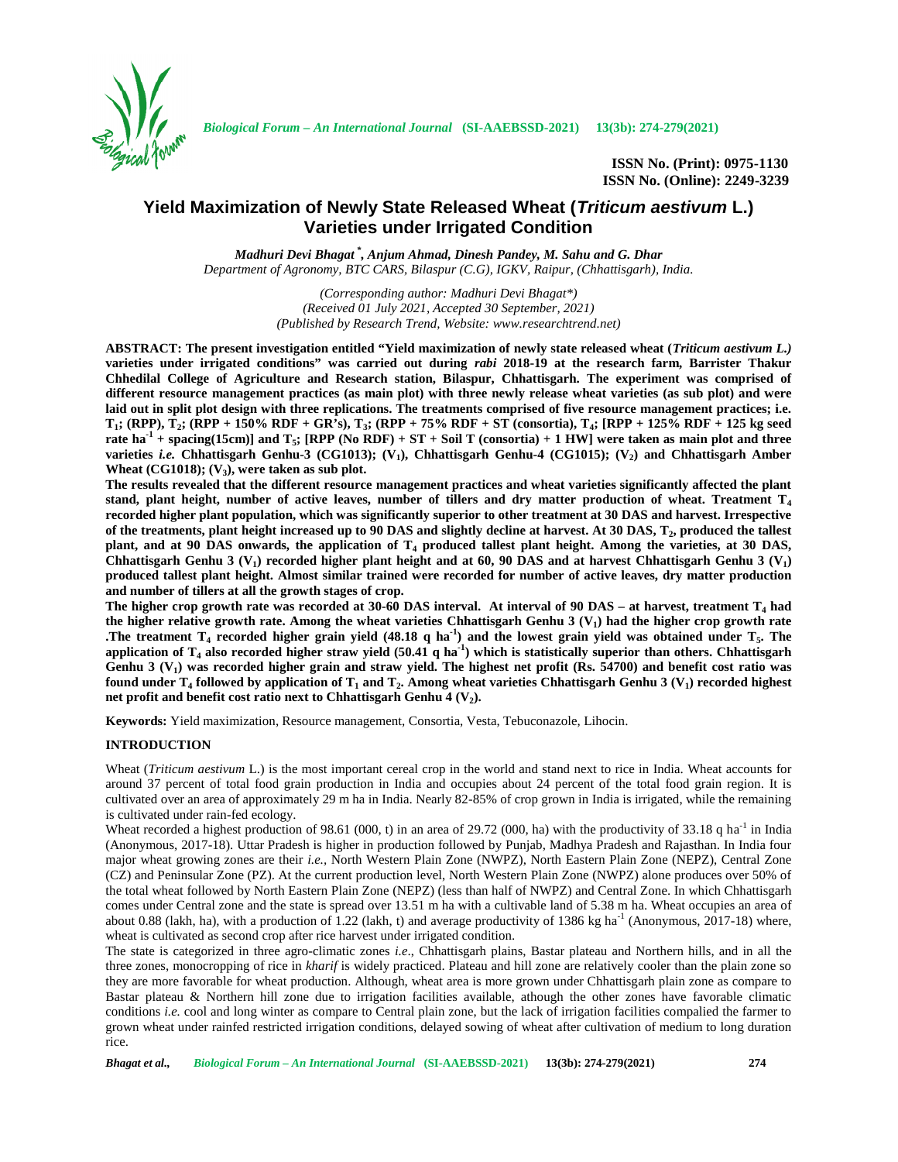

**ISSN No. (Print): 0975-1130 ISSN No. (Online): 2249-3239**

# **Yield Maximization of Newly State Released Wheat (***Triticum aestivum* **L.) Varieties under Irrigated Condition**

*Madhuri Devi Bhagat \* , Anjum Ahmad, Dinesh Pandey, M. Sahu and G. Dhar Department of Agronomy, BTC CARS, Bilaspur (C.G), IGKV, Raipur, (Chhattisgarh), India.*

> *(Corresponding author: Madhuri Devi Bhagat\*) (Received 01 July 2021, Accepted 30 September, 2021) (Published by Research Trend, Website: <www.researchtrend.net>)*

**ABSTRACT: The present investigation entitled "Yield maximization of newly state released wheat (***Triticum aestivum L.)* **varieties under irrigated conditions" was carried out during** *rabi* **2018-19 at the research farm, Barrister Thakur Chhedilal College of Agriculture and Research station, Bilaspur, Chhattisgarh. The experiment was comprised of different resource management practices (as main plot) with three newly release wheat varieties (as sub plot) and were laid out in split plot design with three replications. The treatments comprised of five resource management practices; i.e. T<sup>1</sup> ; (RPP), T<sup>2</sup> ; (RPP + 150% RDF + GR's), T<sup>3</sup> ; (RPP + 75% RDF + ST (consortia), T<sup>4</sup> ; [RPP + 125% RDF + 125 kg seed rate ha-1 + spacing(15cm)] and T<sup>5</sup> ; [RPP (No RDF) + ST + Soil T (consortia) + 1 HW] were taken as main plot and three varieties** *i.e.* **Chhattisgarh Genhu-3 (CG1013); (V<sup>1</sup> ), Chhattisgarh Genhu-4 (CG1015); (V<sup>2</sup> ) and Chhattisgarh Amber Wheat (CG1018); (V<sup>3</sup> ), were taken as sub plot.**

**The results revealed that the different resource management practices and wheat varieties significantly affected the plant stand, plant height, number of active leaves, number of tillers and dry matter production of wheat. Treatment T<sup>4</sup> recorded higher plant population, which was significantly superior to other treatment at 30 DAS and harvest. Irrespective of the treatments, plant height increased up to 90 DAS and slightly decline at harvest. At 30 DAS, T<sup>2</sup> , produced the tallest plant, and at 90 DAS onwards, the application of T<sup>4</sup> produced tallest plant height. Among the varieties, at 30 DAS, Chhattisgarh Genhu 3 (V<sup>1</sup> ) recorded higher plant height and at 60, 90 DAS and at harvest Chhattisgarh Genhu 3 (V<sup>1</sup> ) produced tallest plant height. Almost similar trained were recorded for number of active leaves, dry matter production and number of tillers at all the growth stages of crop.**

**The higher crop growth rate was recorded at 30-60 DAS interval. At interval of 90 DAS – at harvest, treatment T<sup>4</sup> had the higher relative growth rate. Among the wheat varieties Chhattisgarh Genhu 3 (V<sup>1</sup> ) had the higher crop growth rate .The treatment T<sup>4</sup> recorded higher grain yield (48.18 q ha-1 ) and the lowest grain yield was obtained under T<sup>5</sup> . The application of T<sup>4</sup> also recorded higher straw yield (50.41 q ha-1 ) which is statistically superior than others. Chhattisgarh Genhu 3 (V<sup>1</sup> ) was recorded higher grain and straw yield. The highest net profit (Rs. 54700) and benefit cost ratio was found under T<sup>4</sup> followed by application of T<sup>1</sup> and T<sup>2</sup> . Among wheat varieties Chhattisgarh Genhu 3 (V<sup>1</sup> ) recorded highest net profit and benefit cost ratio next to Chhattisgarh Genhu 4 (V<sup>2</sup> ).**

**Keywords:** Yield maximization, Resource management, Consortia, Vesta, Tebuconazole, Lihocin.

### **INTRODUCTION**

Wheat (*Triticum aestivum* L.) is the most important cereal crop in the world and stand next to rice in India. Wheat accounts for around 37 percent of total food grain production in India and occupies about 24 percent of the total food grain region. It is cultivated over an area of approximately 29 m ha in India. Nearly 82-85% of crop grown in India is irrigated, while the remaining is cultivated under rain-fed ecology.

Wheat recorded a highest production of 98.61 (000, t) in an area of 29.72 (000, ha) with the productivity of 33.18 q ha<sup>-1</sup> in India (Anonymous, 2017-18). Uttar Pradesh is higher in production followed by Punjab, Madhya Pradesh and Rajasthan. In India four major wheat growing zones are their *i.e.,* North Western Plain Zone (NWPZ), North Eastern Plain Zone (NEPZ), Central Zone (CZ) and Peninsular Zone (PZ). At the current production level, North Western Plain Zone (NWPZ) alone produces over 50% of the total wheat followed by North Eastern Plain Zone (NEPZ) (less than half of NWPZ) and Central Zone. In which Chhattisgarh comes under Central zone and the state is spread over 13.51 m ha with a cultivable land of 5.38 m ha. Wheat occupies an area of about 0.88 (lakh, ha), with a production of 1.22 (lakh, t) and average productivity of 1386 kg ha<sup>-1</sup> (Anonymous, 2017-18) where, wheat is cultivated as second crop after rice harvest under irrigated condition.

The state is categorized in three agro-climatic zones *i.e*., Chhattisgarh plains, Bastar plateau and Northern hills, and in all the three zones, monocropping of rice in *kharif* is widely practiced. Plateau and hill zone are relatively cooler than the plain zone so they are more favorable for wheat production. Although, wheat area is more grown under Chhattisgarh plain zone as compare to Bastar plateau & Northern hill zone due to irrigation facilities available, athough the other zones have favorable climatic conditions *i.e.* cool and long winter as compare to Central plain zone, but the lack of irrigation facilities compalied the farmer to grown wheat under rainfed restricted irrigation conditions, delayed sowing of wheat after cultivation of medium to long duration rice.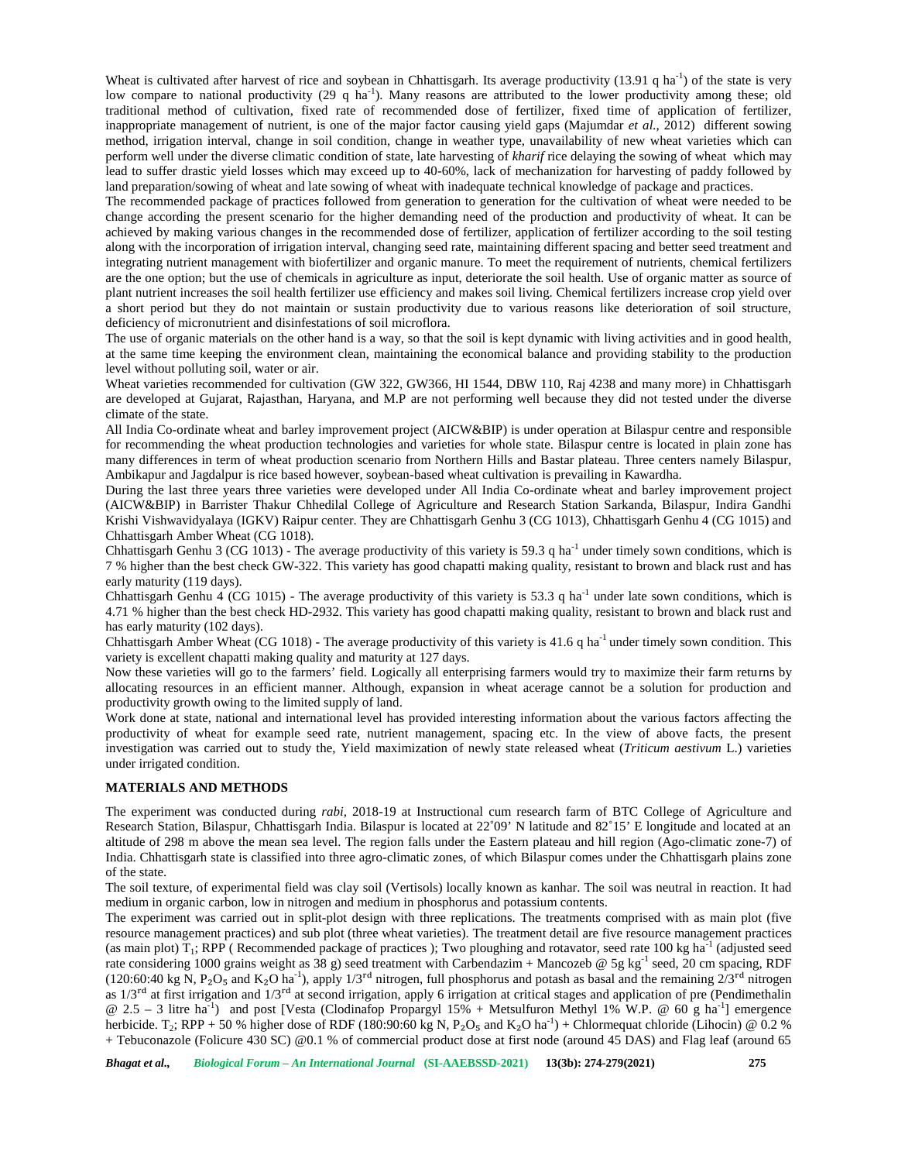Wheat is cultivated after harvest of rice and soybean in Chhattisgarh. Its average productivity (13.91 q ha<sup>-1</sup>) of the state is very low compare to national productivity (29 q ha<sup>-1</sup>). Many reasons are attributed to the lower productivity among these; old traditional method of cultivation, fixed rate of recommended dose of fertilizer, fixed time of application of fertilizer, inappropriate management of nutrient, is one of the major factor causing yield gaps (Majumdar *et al.,* 2012) different sowing method, irrigation interval, change in soil condition, change in weather type, unavailability of new wheat varieties which can perform well under the diverse climatic condition of state, late harvesting of *kharif* rice delaying the sowing of wheat which may lead to suffer drastic yield losses which may exceed up to 40-60%, lack of mechanization for harvesting of paddy followed by land preparation/sowing of wheat and late sowing of wheat with inadequate technical knowledge of package and practices.

The recommended package of practices followed from generation to generation for the cultivation of wheat were needed to be change according the present scenario for the higher demanding need of the production and productivity of wheat. It can be achieved by making various changes in the recommended dose of fertilizer, application of fertilizer according to the soil testing along with the incorporation of irrigation interval, changing seed rate, maintaining different spacing and better seed treatment and integrating nutrient management with biofertilizer and organic manure. To meet the requirement of nutrients, chemical fertilizers are the one option; but the use of chemicals in agriculture as input, deteriorate the soil health. Use of organic matter as source of plant nutrient increases the soil health fertilizer use efficiency and makes soil living. Chemical fertilizers increase crop yield over a short period but they do not maintain or sustain productivity due to various reasons like deterioration of soil structure, deficiency of micronutrient and disinfestations of soil microflora.

The use of organic materials on the other hand is a way, so that the soil is kept dynamic with living activities and in good health, at the same time keeping the environment clean, maintaining the economical balance and providing stability to the production level without polluting soil, water or air.

Wheat varieties recommended for cultivation (GW 322, GW366, HI 1544, DBW 110, Raj 4238 and many more) in Chhattisgarh are developed at Gujarat, Rajasthan, Haryana, and M.P are not performing well because they did not tested under the diverse climate of the state.

All India Co-ordinate wheat and barley improvement project (AICW&BIP) is under operation at Bilaspur centre and responsible for recommending the wheat production technologies and varieties for whole state. Bilaspur centre is located in plain zone has many differences in term of wheat production scenario from Northern Hills and Bastar plateau. Three centers namely Bilaspur, Ambikapur and Jagdalpur is rice based however, soybean-based wheat cultivation is prevailing in Kawardha.

During the last three years three varieties were developed under All India Co-ordinate wheat and barley improvement project (AICW&BIP) in Barrister Thakur Chhedilal College of Agriculture and Research Station Sarkanda, Bilaspur, Indira Gandhi Krishi Vishwavidyalaya (IGKV) Raipur center. They are Chhattisgarh Genhu 3 (CG 1013), Chhattisgarh Genhu 4 (CG 1015) and Chhattisgarh Amber Wheat (CG 1018).

Chhattisgarh Genhu 3 (CG 1013) - The average productivity of this variety is 59.3 q ha<sup>-1</sup> under timely sown conditions, which is 7 % higher than the best check GW-322. This variety has good chapatti making quality, resistant to brown and black rust and has early maturity (119 days).

Chhattisgarh Genhu 4 (CG 1015) - The average productivity of this variety is 53.3 q ha<sup>-1</sup> under late sown conditions, which is 4.71 % higher than the best check HD-2932. This variety has good chapatti making quality, resistant to brown and black rust and has early maturity (102 days).

Chhattisgarh Amber Wheat (CG 1018) - The average productivity of this variety is 41.6 q ha<sup>-1</sup> under timely sown condition. This variety is excellent chapatti making quality and maturity at 127 days.

Now these varieties will go to the farmers' field. Logically all enterprising farmers would try to maximize their farm returns by allocating resources in an efficient manner. Although, expansion in wheat acerage cannot be a solution for production and productivity growth owing to the limited supply of land.

Work done at state, national and international level has provided interesting information about the various factors affecting the productivity of wheat for example seed rate, nutrient management, spacing etc. In the view of above facts, the present investigation was carried out to study the, Yield maximization of newly state released wheat (*Triticum aestivum* L.) varieties under irrigated condition.

#### **MATERIALS AND METHODS**

The experiment was conducted during *rabi,* 2018-19 at Instructional cum research farm of BTC College of Agriculture and Research Station, Bilaspur, Chhattisgarh India. Bilaspur is located at 22˚09' N latitude and 82˚15' E longitude and located at an altitude of 298 m above the mean sea level. The region falls under the Eastern plateau and hill region (Ago-climatic zone-7) of India. Chhattisgarh state is classified into three agro-climatic zones, of which Bilaspur comes under the Chhattisgarh plains zone of the state.

The soil texture, of experimental field was clay soil (Vertisols) locally known as kanhar. The soil was neutral in reaction. It had medium in organic carbon, low in nitrogen and medium in phosphorus and potassium contents.

The experiment was carried out in split-plot design with three replications. The treatments comprised with as main plot (five resource management practices) and sub plot (three wheat varieties). The treatment detail are five resource management practices (as main plot)  $T_1$ ; RPP (Recommended package of practices); Two ploughing and rotavator, seed rate 100 kg ha<sup>-1</sup> (adjusted seed rate considering 1000 grains weight as 38 g) seed treatment with Carbendazim + Mancozeb @ 5g kg<sup>-1</sup> seed, 20 cm spacing, RDF (120:60:40 kg N, P<sub>2</sub>O<sub>5</sub> and K<sub>2</sub>O ha<sup>-1</sup>), apply 1/3<sup>rd</sup> nitrogen, full phosphorus and potash as basal and the remaining  $2/3$ <sup>rd</sup> nitrogen as  $1/3^{rd}$  at first irrigation and  $1/3^{rd}$  at second irrigation, apply 6 irrigation at critical stages and application of pre (Pendimethalin  $@ 2.5 - 3$  litre ha<sup>-1</sup>) and post [Vesta (Clodinafop Propargyl 15% + Metsulfuron Methyl 1% W.P.  $@ 60 g$  ha<sup>-1</sup>] emergence herbicide. T<sub>2</sub>; RPP + 50 % higher dose of RDF (180:90:60 kg N, P<sub>2</sub>O<sub>5</sub> and K<sub>2</sub>O ha<sup>-1</sup>) + Chlormequat chloride (Lihocin) @ 0.2 % + Tebuconazole (Folicure 430 SC) @0.1 % of commercial product dose at first node (around 45 DAS) and Flag leaf (around 65

*Bhagat et al., Biological Forum – An International Journal* **(SI-AAEBSSD-2021) 13(3b): 274-279(2021) 275**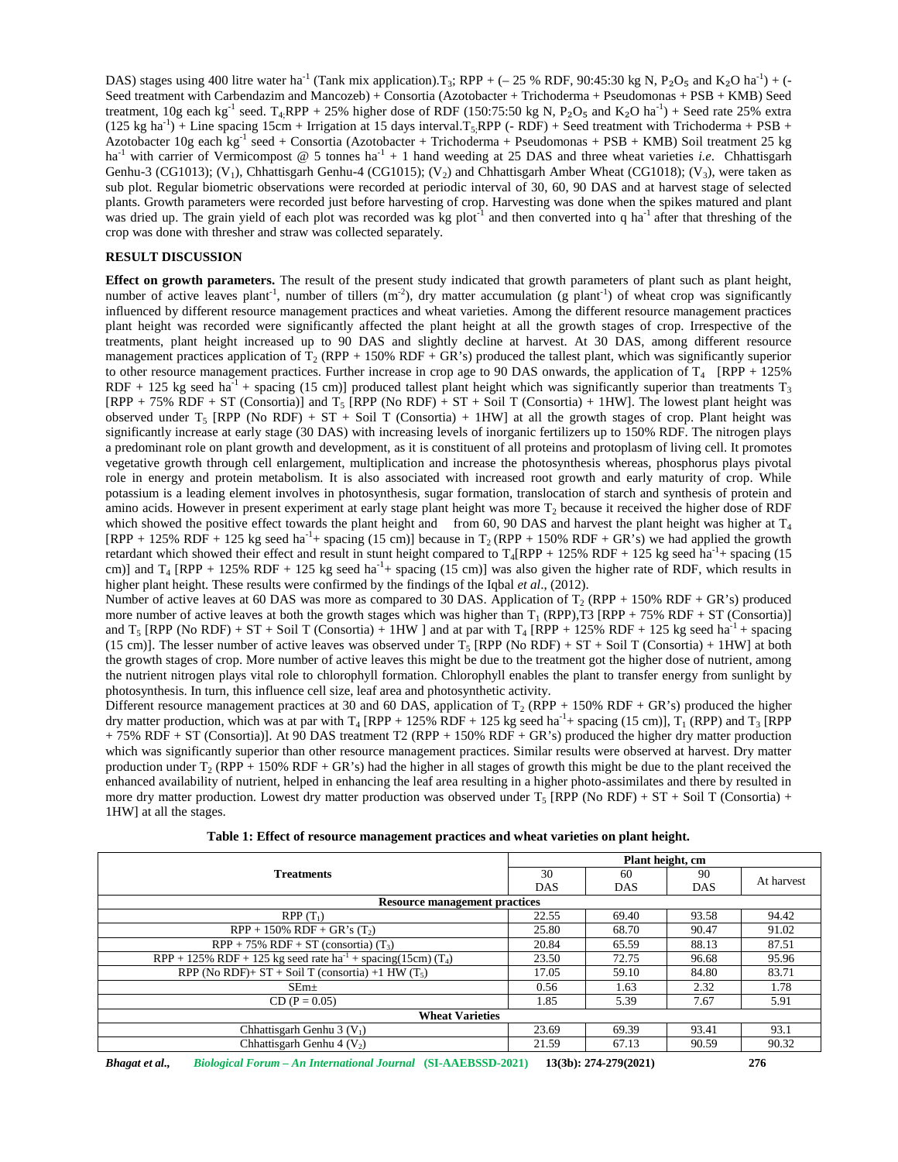DAS) stages using 400 litre water ha<sup>-1</sup> (Tank mix application).T<sub>3</sub>; RPP + (- 25 % RDF, 90:45:30 kg N, P<sub>2</sub>O<sub>5</sub> and K<sub>2</sub>O ha<sup>-1</sup>) + (-Seed treatment with Carbendazim and Mancozeb) + Consortia (Azotobacter + Trichoderma + Pseudomonas + PSB + KMB) Seed treatment,  $10g$  each kg<sup>-1</sup> seed. T<sub>4;</sub>RPP + 25% higher dose of RDF (150:75:50 kg N, P<sub>2</sub>O<sub>5</sub> and K<sub>2</sub>O ha<sup>-1</sup>) + Seed rate 25% extra  $(125 \text{ kg ha}^{-1})$  + Line spacing 15cm + Irrigation at 15 days interval.T<sub>5;</sub>RPP (- RDF) + Seed treatment with Trichoderma + PSB + Azotobacter 10g each kg<sup>-1</sup> seed + Consortia (Azotobacter + Trichoderma + Pseudomonas + PSB + KMB) Soil treatment 25 kg ha<sup>-1</sup> with carrier of Vermicompost @ 5 tonnes ha<sup>-1</sup> + 1 hand weeding at 25 DAS and three wheat varieties *i.e.* Chhattisgarh Genhu-3 (CG1013);  $(V_1)$ , Chhattisgarh Genhu-4 (CG1015);  $(V_2)$  and Chhattisgarh Amber Wheat (CG1018);  $(V_3)$ , were taken as sub plot. Regular biometric observations were recorded at periodic interval of 30, 60, 90 DAS and at harvest stage of selected plants. Growth parameters were recorded just before harvesting of crop. Harvesting was done when the spikes matured and plant was dried up. The grain yield of each plot was recorded was kg plot<sup>-1</sup> and then converted into q ha<sup>-1</sup> after that threshing of the crop was done with thresher and straw was collected separately.

#### **RESULT DISCUSSION**

**Effect on growth parameters.** The result of the present study indicated that growth parameters of plant such as plant height, number of active leaves plant<sup>-1</sup>, number of tillers (m<sup>-2</sup>), dry matter accumulation (g plant<sup>-1</sup>) of wheat crop was significantly influenced by different resource management practices and wheat varieties. Among the different resource management practices plant height was recorded were significantly affected the plant height at all the growth stages of crop. Irrespective of the treatments, plant height increased up to 90 DAS and slightly decline at harvest. At 30 DAS, among different resource management practices application of  $T_2$  (RPP + 150% RDF + GR's) produced the tallest plant, which was significantly superior to other resource management practices. Further increase in crop age to 90 DAS onwards, the application of  $T_4$  [RPP + 125%] RDF + 125 kg seed ha<sup>-1</sup> + spacing (15 cm)] produced tallest plant height which was significantly superior than treatments T<sub>3</sub>  $[RPP + 75\% RDF + ST (Consortia)]$  and  $T_5 [RPP (No RDF) + ST + SoiI T (Consortia) + 1HW]$ . The lowest plant height was observed under  $T_5$  [RPP (No RDF) + ST + Soil T (Consortia) + 1HW] at all the growth stages of crop. Plant height was significantly increase at early stage (30 DAS) with increasing levels of inorganic fertilizers up to 150% RDF. The nitrogen plays a predominant role on plant growth and development, as it is constituent of all proteins and protoplasm of living cell. It promotes vegetative growth through cell enlargement, multiplication and increase the photosynthesis whereas, phosphorus plays pivotal role in energy and protein metabolism. It is also associated with increased root growth and early maturity of crop. While potassium is a leading element involves in photosynthesis, sugar formation, translocation of starch and synthesis of protein and amino acids. However in present experiment at early stage plant height was more  $T_2$  because it received the higher dose of RDF which showed the positive effect towards the plant height and from 60, 90 DAS and harvest the plant height was higher at  $T_4$  $[RPP + 125\% RDF + 125 \text{ kg seed ha}^{-1} + \text{spacing} (15 \text{ cm})]$  because in T<sub>2</sub> (RPP + 150% RDF + GR's) we had applied the growth retardant which showed their effect and result in stunt height compared to  $T_4$ [RPP + 125% RDF + 125 kg seed ha<sup>-1</sup>+ spacing (15 cm)] and  $T_4$  [RPP + 125% RDF + 125 kg seed ha<sup>-1</sup>+ spacing (15 cm)] was also given the higher rate of RDF, which results in higher plant height. These results were confirmed by the findings of the Iqbal *et al*., (2012).

Number of active leaves at 60 DAS was more as compared to 30 DAS. Application of  $T_2$  (RPP + 150% RDF + GR's) produced more number of active leaves at both the growth stages which was higher than  $T_1$  (RPP),T3 [RPP + 75% RDF + ST (Consortia)] and  $T_5$  [RPP (No RDF) + ST + Soil T (Consortia) + 1HW ] and at par with  $T_4$  [RPP + 125% RDF + 125 kg seed ha<sup>-1</sup> + spacing (15 cm)]. The lesser number of active leaves was observed under  $T_5$  [RPP (No RDF) + ST + Soil T (Consortia) + 1HW] at both the growth stages of crop. More number of active leaves this might be due to the treatment got the higher dose of nutrient, among the nutrient nitrogen plays vital role to chlorophyll formation. Chlorophyll enables the plant to transfer energy from sunlight by photosynthesis. In turn, this influence cell size, leaf area and photosynthetic activity.

Different resource management practices at 30 and 60 DAS, application of  $T_2$  (RPP + 150% RDF + GR's) produced the higher dry matter production, which was at par with  $T_4$  [RPP + 125% RDF + 125 kg seed ha<sup>-1</sup>+ spacing (15 cm)],  $T_1$  (RPP) and  $T_3$  [RPP + 75% RDF + ST (Consortia)]. At 90 DAS treatment T2 (RPP + 150% RDF + GR's) produced the higher dry matter production which was significantly superior than other resource management practices. Similar results were observed at harvest. Dry matter production under  $T_2$  (RPP + 150% RDF + GR's) had the higher in all stages of growth this might be due to the plant received the enhanced availability of nutrient, helped in enhancing the leaf area resulting in a higher photo-assimilates and there by resulted in more dry matter production. Lowest dry matter production was observed under  $T_5$  [RPP (No RDF) + ST + Soil T (Consortia) + 1HW] at all the stages.

|                                                                                    | Plant height, cm |            |            |            |  |  |
|------------------------------------------------------------------------------------|------------------|------------|------------|------------|--|--|
| <b>Treatments</b>                                                                  | 30               | 60         | 90         | At harvest |  |  |
|                                                                                    | <b>DAS</b>       | <b>DAS</b> | <b>DAS</b> |            |  |  |
| <b>Resource management practices</b>                                               |                  |            |            |            |  |  |
| $RPP(T_1)$                                                                         | 22.55            | 69.40      | 93.58      | 94.42      |  |  |
| $RPP + 150\% RDF + GR's (T_2)$                                                     | 25.80            | 68.70      | 90.47      | 91.02      |  |  |
| $RPP + 75\% RDF + ST (consortia) (T3)$                                             | 20.84            | 65.59      | 88.13      | 87.51      |  |  |
| RPP + 125% RDF + 125 kg seed rate $ha^{-1}$ + spacing (15cm) (T <sub>4</sub> )     | 23.50            | 72.75      | 96.68      | 95.96      |  |  |
| $\overline{\text{RPP (No RDF)}}$ + ST + Soil T (consortia) +1 HW (T <sub>5</sub> ) | 17.05            | 59.10      | 84.80      | 83.71      |  |  |
| SEm <sub>±</sub>                                                                   | 0.56             | 1.63       | 2.32       | 1.78       |  |  |
| $CD (P = 0.05)$                                                                    | 1.85             | 5.39       | 7.67       | 5.91       |  |  |
| <b>Wheat Varieties</b>                                                             |                  |            |            |            |  |  |
| Chhattisgarh Genhu 3 $(V_1)$                                                       | 23.69            | 69.39      | 93.41      | 93.1       |  |  |
| Chhattisgarh Genhu 4 $(V_2)$                                                       | 21.59            | 67.13      | 90.59      | 90.32      |  |  |

|  | Table 1: Effect of resource management practices and wheat varieties on plant height. |
|--|---------------------------------------------------------------------------------------|
|  |                                                                                       |

*Bhagat et al., Biological Forum – An International Journal* **(SI-AAEBSSD-2021) 13(3b): 274-279(2021) 276**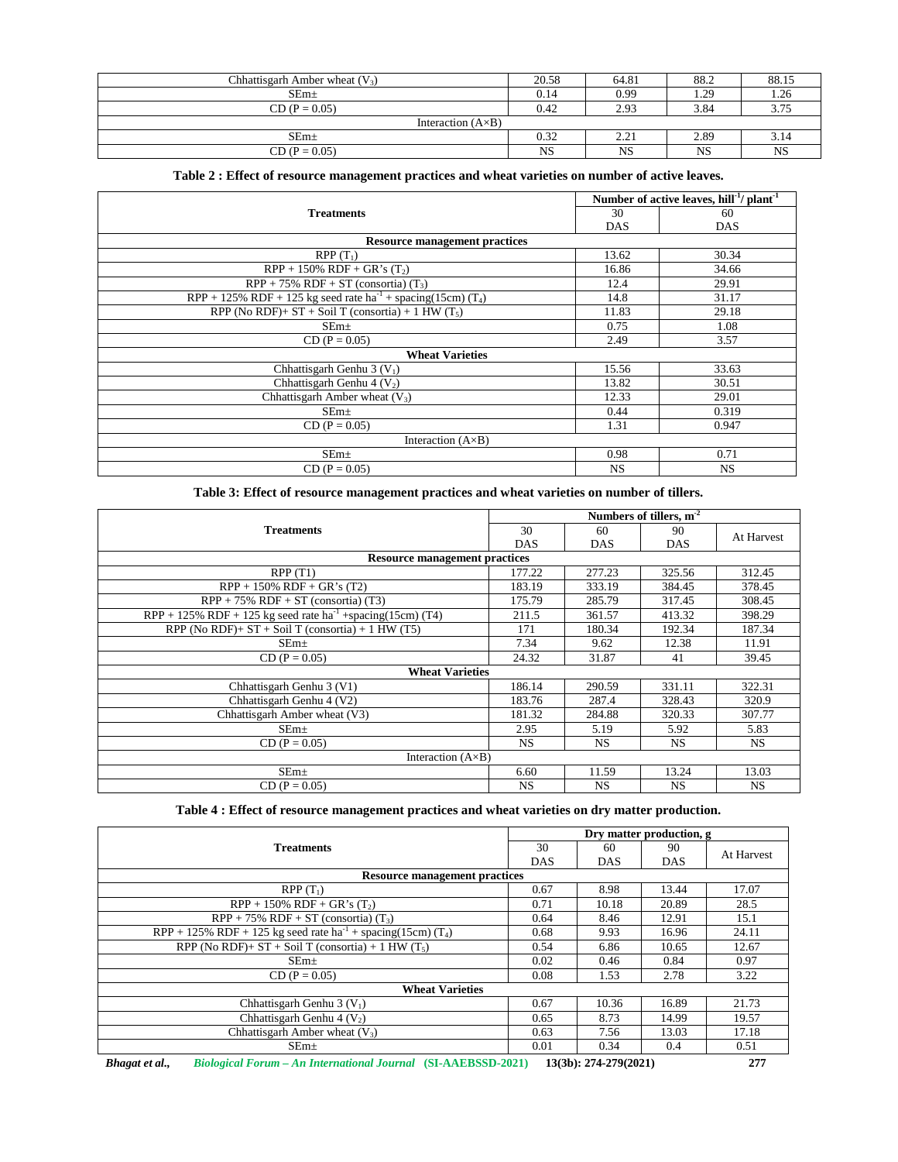| Chhattisgarh Amber wheat $(V_3)$ | 20.58 | 64.81                          | 88.2 | 88.15     |  |  |
|----------------------------------|-------|--------------------------------|------|-----------|--|--|
| $SEm+$                           | 0.14  | 0.99                           | 1.29 | 1.26      |  |  |
| $CD (P = 0.05)$                  | 0.42  | 2.93                           | 3.84 |           |  |  |
| Interaction $(A \times B)$       |       |                                |      |           |  |  |
| $SEm+$                           | 0.32  | າ າ າ<br>$\angle$ . $\angle$ . | 2.89 | 5.14      |  |  |
| $CD (P = 0.05)$                  | NS    | NS                             | NS   | <b>NS</b> |  |  |

## **Table 2 : Effect of resource management practices and wheat varieties on number of active leaves.**

|                                                                               |            | Number of active leaves, hill <sup>-1</sup> / plant <sup>-1</sup> |  |  |  |
|-------------------------------------------------------------------------------|------------|-------------------------------------------------------------------|--|--|--|
| <b>Treatments</b>                                                             | 30         | 60                                                                |  |  |  |
|                                                                               | <b>DAS</b> | <b>DAS</b>                                                        |  |  |  |
| <b>Resource management practices</b>                                          |            |                                                                   |  |  |  |
| $RPP(T_1)$                                                                    | 13.62      | 30.34                                                             |  |  |  |
| $RPP + 150\% RDF + GR's (T_2)$                                                | 16.86      | 34.66                                                             |  |  |  |
| $RPP + 75\% RDF + ST$ (consortia) $(T_3)$                                     | 12.4       | 29.91                                                             |  |  |  |
| RPP + 125% RDF + 125 kg seed rate $ha^{-1}$ + spacing(15cm) (T <sub>4</sub> ) | 14.8       | 31.17                                                             |  |  |  |
| RPP (No RDF)+ ST + Soil T (consortia) + 1 HW $(T_5)$                          | 11.83      | 29.18                                                             |  |  |  |
| SEm <sub>±</sub>                                                              | 0.75       | 1.08                                                              |  |  |  |
| $CD (P = 0.05)$                                                               | 2.49       | 3.57                                                              |  |  |  |
| <b>Wheat Varieties</b>                                                        |            |                                                                   |  |  |  |
| Chhattisgarh Genhu 3 $(V_1)$                                                  | 15.56      | 33.63                                                             |  |  |  |
| Chhattisgarh Genhu 4 $(V_2)$                                                  | 13.82      | 30.51                                                             |  |  |  |
| Chhattisgarh Amber wheat $(V_3)$                                              | 12.33      | 29.01                                                             |  |  |  |
| $SEm+$                                                                        | 0.44       | 0.319                                                             |  |  |  |
| $CD (P = 0.05)$                                                               | 1.31       | 0.947                                                             |  |  |  |
| Interaction $(A \times B)$                                                    |            |                                                                   |  |  |  |
| $SEm+$                                                                        | 0.98       | 0.71                                                              |  |  |  |
| $CD (P = 0.05)$                                                               | <b>NS</b>  | NS.                                                               |  |  |  |

**Table 3: Effect of resource management practices and wheat varieties on number of tillers.**

|                                                                           |            | Numbers of tillers, $m-2$ |            |            |  |
|---------------------------------------------------------------------------|------------|---------------------------|------------|------------|--|
| <b>Treatments</b>                                                         | 30         | 60                        | 90         | At Harvest |  |
|                                                                           | <b>DAS</b> | <b>DAS</b>                | <b>DAS</b> |            |  |
| <b>Resource management practices</b>                                      |            |                           |            |            |  |
| RPP(T1)                                                                   | 177.22     | 277.23                    | 325.56     | 312.45     |  |
| $RPP + 150\% RDF + GR's (T2)$                                             | 183.19     | 333.19                    | 384.45     | 378.45     |  |
| $RPP + 75\% RDF + ST$ (consortia) (T3)                                    | 175.79     | 285.79                    | 317.45     | 308.45     |  |
| $RPP + 125\% RDF + 125$ kg seed rate ha <sup>-1</sup> +spacing(15cm) (T4) | 211.5      | 361.57                    | 413.32     | 398.29     |  |
| RPP (No RDF)+ $ST + SoilT$ (consortia) + 1 HW (T5)                        | 171        | 180.34                    | 192.34     | 187.34     |  |
| $SEm\pm$                                                                  |            | 9.62                      | 12.38      | 11.91      |  |
| $CD (P = 0.05)$                                                           |            | 31.87                     | 41         | 39.45      |  |
| <b>Wheat Varieties</b>                                                    |            |                           |            |            |  |
| Chhattisgarh Genhu 3 (V1)                                                 | 186.14     | 290.59                    | 331.11     | 322.31     |  |
| Chhattisgarh Genhu 4 (V2)                                                 | 183.76     | 287.4                     | 328.43     | 320.9      |  |
| Chhattisgarh Amber wheat (V3)                                             |            | 284.88                    | 320.33     | 307.77     |  |
| SEm <sub>±</sub>                                                          | 2.95       | 5.19                      | 5.92       | 5.83       |  |
| $CD (P = 0.05)$                                                           | NS.        | <b>NS</b>                 | <b>NS</b>  | NS.        |  |
| Interaction $(A \times B)$                                                |            |                           |            |            |  |
| SEm <sub>±</sub>                                                          | 6.60       | 11.59                     | 13.24      | 13.03      |  |
| $CD (P = 0.05)$                                                           | <b>NS</b>  | <b>NS</b>                 | <b>NS</b>  | <b>NS</b>  |  |

**Table 4 : Effect of resource management practices and wheat varieties on dry matter production.**

|                                                                               |            | Dry matter production, g |       |            |  |
|-------------------------------------------------------------------------------|------------|--------------------------|-------|------------|--|
| <b>Treatments</b>                                                             | 30         | 60                       | 90    | At Harvest |  |
|                                                                               | <b>DAS</b> | <b>DAS</b>               | DAS   |            |  |
| <b>Resource management practices</b>                                          |            |                          |       |            |  |
| $RPP(T_1)$                                                                    | 0.67       | 8.98                     | 13.44 | 17.07      |  |
| $RPP + 150\% RDF + GR's (T_2)$                                                | 0.71       | 10.18                    | 20.89 | 28.5       |  |
| $RPP + 75\% RDF + ST$ (consortia) $(T_3)$                                     | 0.64       | 8.46                     | 12.91 | 15.1       |  |
| RPP + 125% RDF + 125 kg seed rate $ha^{-1}$ + spacing(15cm) (T <sub>4</sub> ) | 0.68       | 9.93                     | 16.96 | 24.11      |  |
| RPP (No RDF)+ ST + Soil T (consortia) + 1 HW $(T_5)$                          | 0.54       | 6.86                     | 10.65 | 12.67      |  |
| SEm <sub>±</sub>                                                              | 0.02       | 0.46                     | 0.84  | 0.97       |  |
| $CD (P = 0.05)$                                                               | 0.08       | 1.53                     | 2.78  | 3.22       |  |
| <b>Wheat Varieties</b>                                                        |            |                          |       |            |  |
| Chhattisgarh Genhu 3 $(V_1)$                                                  | 0.67       | 10.36                    | 16.89 | 21.73      |  |
| Chhattisgarh Genhu 4 $(V_2)$                                                  | 0.65       | 8.73                     | 14.99 | 19.57      |  |
| Chhattisgarh Amber wheat $(V_3)$                                              | 0.63       | 7.56                     | 13.03 | 17.18      |  |
| SEm <sub>±</sub>                                                              | 0.01       | 0.34                     | 0.4   | 0.51       |  |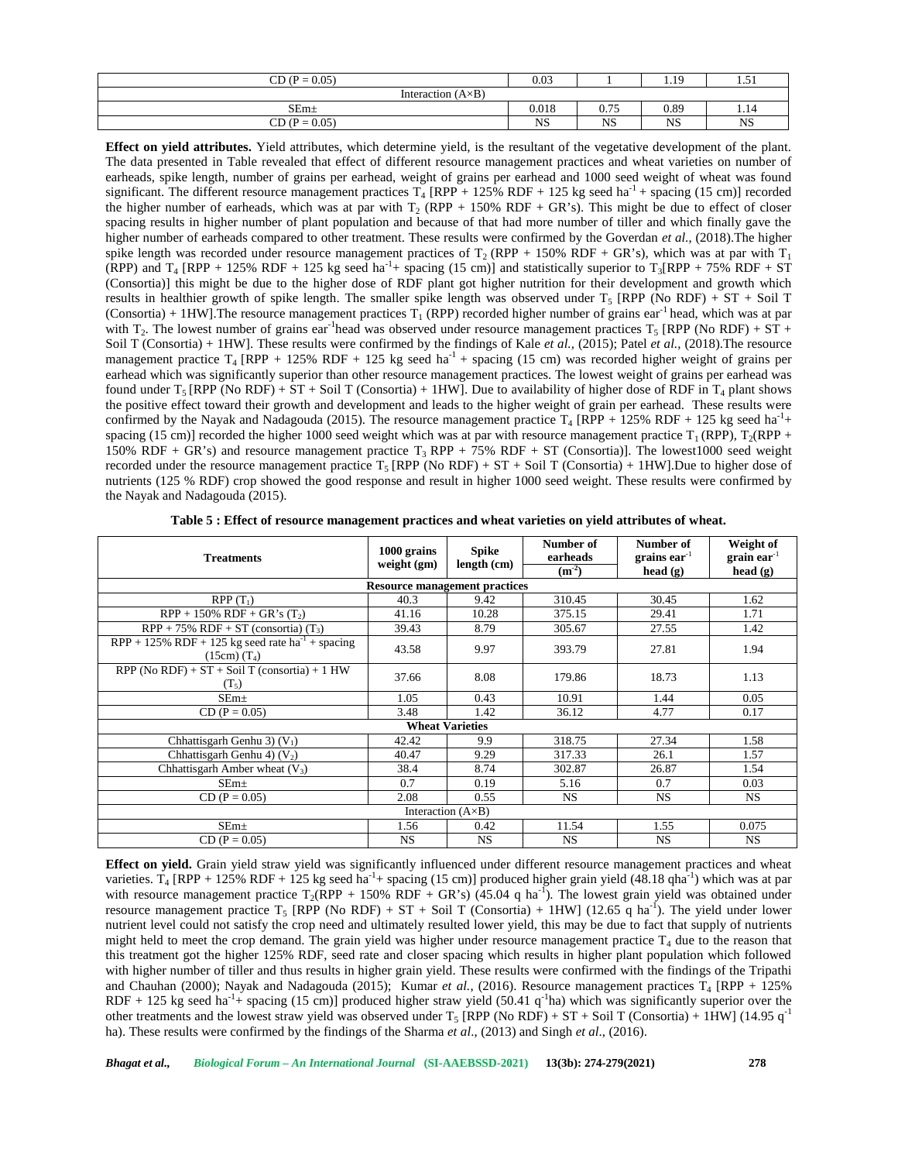| $CD (P = 0.05)$            | 0.03      |                               | 1.19      | - -<br>.           |  |  |
|----------------------------|-----------|-------------------------------|-----------|--------------------|--|--|
| Interaction $(A \times B)$ |           |                               |           |                    |  |  |
| $SEm+$                     | 0.018     | $\sim$ $\pi$ $\sim$<br>V. I J | 0.89      | 1.14               |  |  |
| $CD (P = 0.05)$            | <b>NS</b> | <b>NS</b>                     | <b>NS</b> | $\sim$ 7.69<br>NS. |  |  |

**Effect on yield attributes.** Yield attributes, which determine yield, is the resultant of the vegetative development of the plant. The data presented in Table revealed that effect of different resource management practices and wheat varieties on number of earheads, spike length, number of grains per earhead, weight of grains per earhead and 1000 seed weight of wheat was found significant. The different resource management practices  $T_4$  [RPP + 125% RDF + 125 kg seed ha<sup>-1</sup> + spacing (15 cm)] recorded the higher number of earheads, which was at par with  $T_2$  (RPP + 150% RDF + GR's). This might be due to effect of closer spacing results in higher number of plant population and because of that had more number of tiller and which finally gave the higher number of earheads compared to other treatment. These results were confirmed by the Goverdan *et al*., (2018).The higher spike length was recorded under resource management practices of  $T_2(RPP + 150\% RDF + GR's)$ , which was at par with  $T_1$ (RPP) and  $T_4$  [RPP + 125% RDF + 125 kg seed ha<sup>-1</sup>+ spacing (15 cm)] and statistically superior to  $T_3$ [RPP + 75% RDF + ST (Consortia)] this might be due to the higher dose of RDF plant got higher nutrition for their development and growth which results in healthier growth of spike length. The smaller spike length was observed under  $T_5$  [RPP (No RDF) + ST + Soil T (Consortia) + 1HW]. The resource management practices  $T_1$  (RPP) recorded higher number of grains ear<sup>-1</sup> head, which was at par with  $T_2$ . The lowest number of grains ear <sup>1</sup>head was observed under resource management practices  $T_5$  [RPP (No RDF) +  $ST$  + Soil T (Consortia) + 1HW]. These results were confirmed by the findings of Kale *et al.,* (2015); Patel *et al.,* (2018).The resource management practice  $T_4$  [RPP + 125% RDF + 125 kg seed ha<sup>-1</sup> + spacing (15 cm) was recorded higher weight of grains per earhead which was significantly superior than other resource management practices. The lowest weight of grains per earhead was found under T<sub>5</sub> [RPP (No RDF) + ST + Soil T (Consortia) + 1HW]. Due to availability of higher dose of RDF in T<sub>4</sub> plant shows the positive effect toward their growth and development and leads to the higher weight of grain per earhead. These results were confirmed by the Nayak and Nadagouda (2015). The resource management practice  $T_4$  [RPP + 125% RDF + 125 kg seed ha<sup>-1</sup>+ spacing (15 cm)] recorded the higher 1000 seed weight which was at par with resource management practice  $T_1(RPP)$ ,  $T_2(RPP$  + 150% RDF + GR's) and resource management practice  $T_3$  RPP + 75% RDF + ST (Consortia)]. The lowest1000 seed weight recorded under the resource management practice  $T_5$  [RPP (No RDF) + ST + Soil T (Consortia) + 1HW].Due to higher dose of nutrients (125 % RDF) crop showed the good response and result in higher 1000 seed weight. These results were confirmed by the Nayak and Nadagouda (2015).

| <b>Treatments</b>                                                                   | 1000 grains<br>weight $(g_m)$        | <b>Spike</b>           | Number of<br>earheads | Number of<br>grains $ear^{-1}$ | Weight of<br>$grain ear^{-1}$ |  |  |
|-------------------------------------------------------------------------------------|--------------------------------------|------------------------|-----------------------|--------------------------------|-------------------------------|--|--|
|                                                                                     |                                      | length (cm)            | $(m^{-2})$            | head $(g)$                     | head $(g)$                    |  |  |
|                                                                                     | <b>Resource management practices</b> |                        |                       |                                |                               |  |  |
| $RPP(T_1)$                                                                          | 40.3                                 | 9.42                   | 310.45                | 30.45                          | 1.62                          |  |  |
| $RPP + 150\% RDF + GR's (T2)$                                                       | 41.16                                | 10.28                  | 375.15                | 29.41                          | 1.71                          |  |  |
| $RPP + 75\% RDF + ST (consortia) (T3)$                                              | 39.43                                | 8.79                   | 305.67                | 27.55                          | 1.42                          |  |  |
| $RPP + 125\% RDF + 125$ kg seed rate ha <sup>-1</sup> + spacing<br>$(15cm)$ $(T_4)$ | 43.58                                | 9.97                   | 393.79                | 27.81                          | 1.94                          |  |  |
| RPP (No RDF) + $ST$ + Soil T (consortia) + 1 HW<br>$(T_5)$                          | 37.66                                | 8.08                   | 179.86                | 18.73                          | 1.13                          |  |  |
| $SEm+$                                                                              | 1.05                                 | 0.43                   | 10.91                 | 1.44                           | 0.05                          |  |  |
| $CD (P = 0.05)$                                                                     | 3.48                                 | 1.42                   | 36.12                 | 4.77                           | 0.17                          |  |  |
|                                                                                     |                                      | <b>Wheat Varieties</b> |                       |                                |                               |  |  |
| Chhattisgarh Genhu 3) $(V_1)$                                                       | 42.42                                | 9.9                    | 318.75                | 27.34                          | 1.58                          |  |  |
| Chhattisgarh Genhu 4) $(V_2)$                                                       | 40.47                                | 9.29                   | 317.33                | 26.1                           | 1.57                          |  |  |
| Chhattisgarh Amber wheat $(V_3)$                                                    | 38.4                                 | 8.74                   | 302.87                | 26.87                          | 1.54                          |  |  |
| $SEm+$                                                                              | 0.7                                  | 0.19                   | 5.16                  | 0.7                            | 0.03                          |  |  |
| $CD (P = 0.05)$                                                                     | 2.08                                 | 0.55                   | <b>NS</b>             | <b>NS</b>                      | NS.                           |  |  |
| Interaction $(A \times B)$                                                          |                                      |                        |                       |                                |                               |  |  |
| SEm <sub>±</sub>                                                                    | 1.56                                 | 0.42                   | 11.54                 | 1.55                           | 0.075                         |  |  |
| $CD (P = 0.05)$                                                                     | <b>NS</b>                            | <b>NS</b>              | <b>NS</b>             | <b>NS</b>                      | <b>NS</b>                     |  |  |

**Table 5 : Effect of resource management practices and wheat varieties on yield attributes of wheat.**

**Effect on yield.** Grain yield straw yield was significantly influenced under different resource management practices and wheat varieties.  $T_4$  [RPP + 125% RDF + 125 kg seed ha<sup>-1</sup>+ spacing (15 cm)] produced higher grain yield (48.18 qha<sup>-1</sup>) which was at par with resource management practice  $T_2(RPP + 150\% RDF + GR's)$  (45.04 q ha<sup>-1</sup>). The lowest grain yield was obtained under resource management practice  $T_5$  [RPP (No RDF) + ST + Soil T (Consortia) + 1HW] (12.65 q ha<sup>-1</sup>). The yield under lower nutrient level could not satisfy the crop need and ultimately resulted lower yield, this may be due to fact that supply of nutrients might held to meet the crop demand. The grain yield was higher under resource management practice  $T_4$  due to the reason that this treatment got the higher 125% RDF, seed rate and closer spacing which results in higher plant population which followed with higher number of tiller and thus results in higher grain yield. These results were confirmed with the findings of the Tripathi and Chauhan (2000); Nayak and Nadagouda (2015); Kumar *et al.*, (2016). Resource management practices T<sub>4</sub> [RPP + 125% RDF + 125 kg seed ha<sup>-1</sup>+ spacing (15 cm)] produced higher straw yield (50.41 q<sup>-1</sup>ha) which was significantly superior over the other treatments and the lowest straw yield was observed under  $T_5$  [RPP (No RDF) + ST + Soil T (Consortia) + 1HW] (14.95  $q^{-1}$ ha). These results were confirmed by the findings of the Sharma *et al*., (2013) and Singh *et al*., (2016).